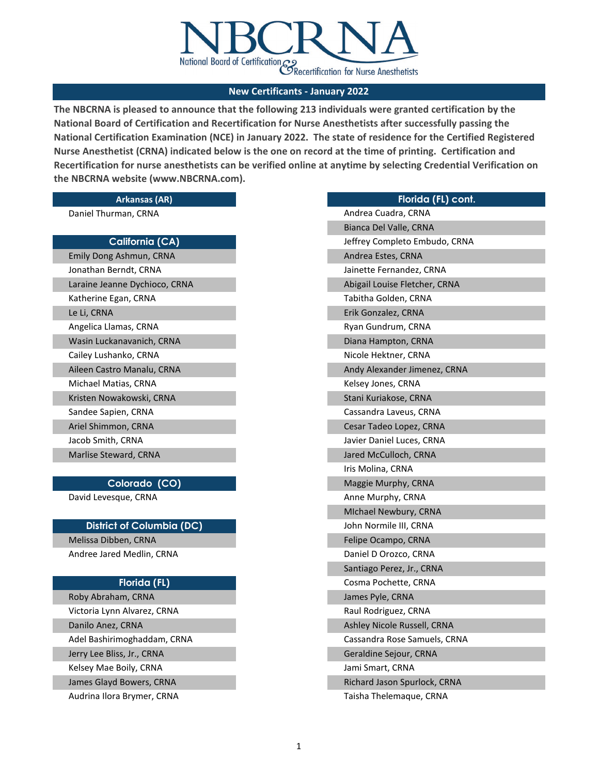

**The NBCRNA is pleased to announce that the following 213 individuals were granted certification by the National Board of Certification and Recertification for Nurse Anesthetists after successfully passing the National Certification Examination (NCE) in January 2022. The state of residence for the Certified Registered Nurse Anesthetist (CRNA) indicated below is the one on record at the time of printing. Certification and Recertification for nurse anesthetists can be verified online at anytime by selecting Credential Verification on the NBCRNA website (www.NBCRNA.com).** 

#### **Arkansas (AR)**

Daniel Thurman, CRNA

# **California (CA)**

| Emily Dong Ashmun, CRNA       |
|-------------------------------|
| Jonathan Berndt, CRNA         |
| Laraine Jeanne Dychioco, CRNA |
| Katherine Egan, CRNA          |
| Le Li, CRNA                   |
| Angelica Llamas, CRNA         |
| Wasin Luckanavanich, CRNA     |
| Cailey Lushanko, CRNA         |
| Aileen Castro Manalu, CRNA    |
| Michael Matias, CRNA          |
| Kristen Nowakowski, CRNA      |
| Sandee Sapien, CRNA           |
| Ariel Shimmon, CRNA           |
| Jacob Smith, CRNA             |
| Marlise Steward, CRNA         |

## **Colorado (CO)**

David Levesque, CRNA

## **District of Columbia (DC)**

Melissa Dibben, CRNA Andree Jared Medlin, CRNA

## **Florida (FL)**

Jerry Lee Bliss, Jr., CRNA Kelsey Mae Boily, CRNA James Glayd Bowers, CRNA Roby Abraham, CRNA Victoria Lynn Alvarez, CRNA Danilo Anez, CRNA Adel Bashirimoghaddam, CRNA Audrina Ilora Brymer, CRNA

| Florida (FL) cont.            |
|-------------------------------|
| Andrea Cuadra, CRNA           |
| Bianca Del Valle, CRNA        |
| Jeffrey Completo Embudo, CRNA |
| Andrea Estes, CRNA            |
| Jainette Fernandez, CRNA      |
| Abigail Louise Fletcher, CRNA |
| Tabitha Golden, CRNA          |
| Erik Gonzalez, CRNA           |
| Ryan Gundrum, CRNA            |
| Diana Hampton, CRNA           |
| Nicole Hektner, CRNA          |
| Andy Alexander Jimenez, CRNA  |
| Kelsey Jones, CRNA            |
| Stani Kuriakose, CRNA         |
| Cassandra Laveus, CRNA        |
| Cesar Tadeo Lopez, CRNA       |
| Javier Daniel Luces, CRNA     |
| Jared McCulloch, CRNA         |
| Iris Molina, CRNA             |
| Maggie Murphy, CRNA           |
| Anne Murphy, CRNA             |
| Michael Newbury, CRNA         |
| John Normile III, CRNA        |
| Felipe Ocampo, CRNA           |
| Daniel D Orozco, CRNA         |
| Santiago Perez, Jr., CRNA     |
| Cosma Pochette, CRNA          |
| James Pyle, CRNA              |
| Raul Rodriguez, CRNA          |
| Ashley Nicole Russell, CRNA   |
| Cassandra Rose Samuels, CRNA  |
| Geraldine Sejour, CRNA        |
| Jami Smart, CRNA              |
| Richard Jason Spurlock, CRNA  |
| Taisha Thelemaque, CRNA       |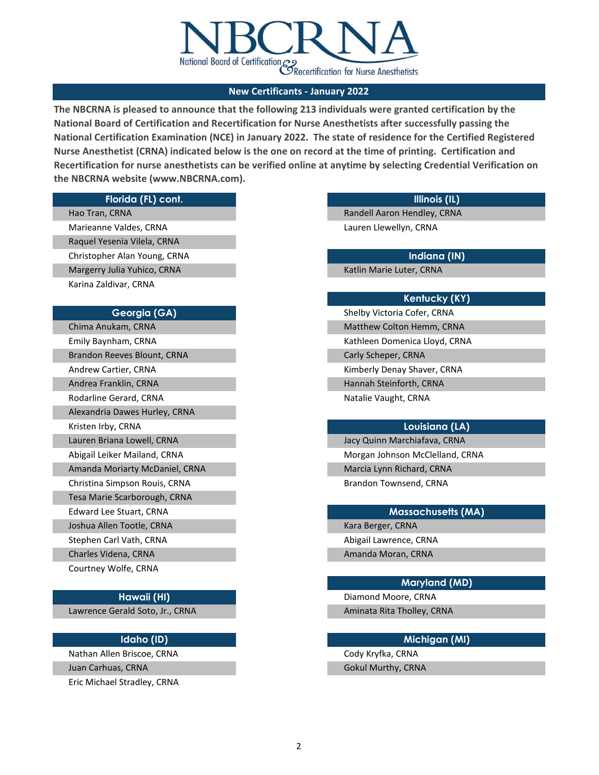

**The NBCRNA is pleased to announce that the following 213 individuals were granted certification by the National Board of Certification and Recertification for Nurse Anesthetists after successfully passing the National Certification Examination (NCE) in January 2022. The state of residence for the Certified Registered Nurse Anesthetist (CRNA) indicated below is the one on record at the time of printing. Certification and Recertification for nurse anesthetists can be verified online at anytime by selecting Credential Verification on the NBCRNA website (www.NBCRNA.com).** 

## **Florida (FL) cont.**

Hao Tran, CRNA Marieanne Valdes, CRNA Raquel Yesenia Vilela, CRNA Christopher Alan Young, CRNA Margerry Julia Yuhico, CRNA Karina Zaldivar, CRNA

#### **Georgia (GA)**

| Chima Anukam, CRNA             |
|--------------------------------|
| Emily Baynham, CRNA            |
| Brandon Reeves Blount, CRNA    |
| Andrew Cartier, CRNA           |
| Andrea Franklin, CRNA          |
| Rodarline Gerard, CRNA         |
| Alexandria Dawes Hurley, CRNA  |
| Kristen Irby, CRNA             |
| Lauren Briana Lowell, CRNA     |
| Abigail Leiker Mailand, CRNA   |
| Amanda Moriarty McDaniel, CRNA |
| Christina Simpson Rouis, CRNA  |
| Tesa Marie Scarborough, CRNA   |
| Edward Lee Stuart, CRNA        |
| Joshua Allen Tootle, CRNA      |
| Stephen Carl Vath, CRNA        |
| Charles Videna, CRNA           |
| Courtney Wolfe, CRNA           |

## **Hawaii (HI)**

Lawrence Gerald Soto, Jr., CRNA

## **Idaho (ID)**

Nathan Allen Briscoe, CRNA Juan Carhuas, CRNA

Eric Michael Stradley, CRNA

## **Illinois (IL)**

Randell Aaron Hendley, CRNA Lauren Llewellyn, CRNA

**Indiana (IN)**

Katlin Marie Luter, CRNA

## **Kentucky (KY)**

Shelby Victoria Cofer, CRNA Natalie Vaught, CRNA Matthew Colton Hemm, CRNA Kathleen Domenica Lloyd, CRNA Carly Scheper, CRNA Kimberly Denay Shaver, CRNA Hannah Steinforth, CRNA

### **Louisiana (LA)**

Jacy Quinn Marchiafava, CRNA Morgan Johnson McClelland, CRNA Marcia Lynn Richard, CRNA Brandon Townsend, CRNA

#### **Massachusetts (MA)**

Kara Berger, CRNA Abigail Lawrence, CRNA Amanda Moran, CRNA

## **Maryland (MD)**

Diamond Moore, CRNA Aminata Rita Tholley, CRNA

# **Michigan (MI)**

Cody Kryfka, CRNA Gokul Murthy, CRNA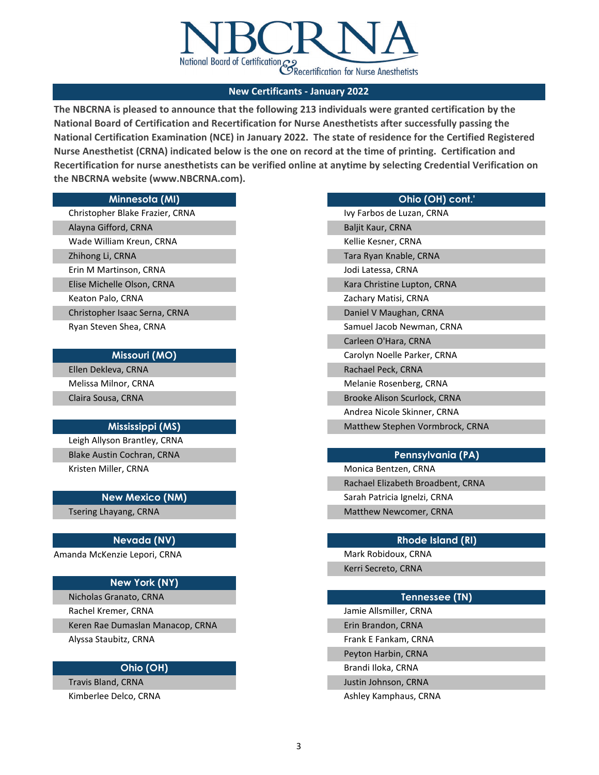

**The NBCRNA is pleased to announce that the following 213 individuals were granted certification by the National Board of Certification and Recertification for Nurse Anesthetists after successfully passing the National Certification Examination (NCE) in January 2022. The state of residence for the Certified Registered Nurse Anesthetist (CRNA) indicated below is the one on record at the time of printing. Certification and Recertification for nurse anesthetists can be verified online at anytime by selecting Credential Verification on the NBCRNA website (www.NBCRNA.com).** 

#### **Minnesota (MI)**

Erin M Martinson, CRNA Elise Michelle Olson, CRNA Keaton Palo, CRNA Christopher Isaac Serna, CRNA Ryan Steven Shea, CRNA Christopher Blake Frazier, CRNA Alayna Gifford, CRNA Wade William Kreun, CRNA Zhihong Li, CRNA

## **Missouri (MO)**

Ellen Dekleva, CRNA Melissa Milnor, CRNA Claira Sousa, CRNA

#### **Mississippi (MS)**

Leigh Allyson Brantley, CRNA Blake Austin Cochran, CRNA Kristen Miller, CRNA

#### **New Mexico (NM)**

Tsering Lhayang, CRNA

#### **Nevada (NV)**

Amanda McKenzie Lepori, CRNA

# **New York (NY)**

Keren Rae Dumaslan Manacop, CRNA Alyssa Staubitz, CRNA Nicholas Granato, CRNA Rachel Kremer, CRNA

## **Ohio (OH)**

Kimberlee Delco, CRNA Travis Bland, CRNA

#### **Ohio (OH) cont.'**

Brooke Alison Scurlock, CRNA Andrea Nicole Skinner, CRNA Matthew Stephen Vormbrock, CRNA Ivy Farbos de Luzan, CRNA Baljit Kaur, CRNA Kellie Kesner, CRNA Tara Ryan Knable, CRNA Jodi Latessa, CRNA Kara Christine Lupton, CRNA Zachary Matisi, CRNA Daniel V Maughan, CRNA Samuel Jacob Newman, CRNA Carleen O'Hara, CRNA Carolyn Noelle Parker, CRNA Rachael Peck, CRNA Melanie Rosenberg, CRNA

## **Pennsylvania (PA)**

Monica Bentzen, CRNA Rachael Elizabeth Broadbent, CRNA Sarah Patricia Ignelzi, CRNA Matthew Newcomer, CRNA

#### **Rhode Island (RI)**

Mark Robidoux, CRNA Kerri Secreto, CRNA

## **Tennessee (TN)**

Jamie Allsmiller, CRNA Erin Brandon, CRNA Frank E Fankam, CRNA Peyton Harbin, CRNA Brandi Iloka, CRNA Justin Johnson, CRNA

Ashley Kamphaus, CRNA